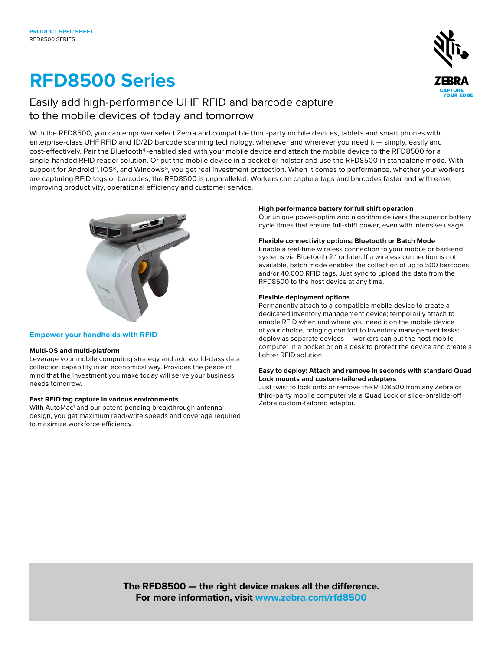# **RFD8500 Series**



### Easily add high-performance UHF RFID and barcode capture to the mobile devices of today and tomorrow

With the RFD8500, you can empower select Zebra and compatible third-party mobile devices, tablets and smart phones with enterprise-class UHF RFID and 1D/2D barcode scanning technology, whenever and wherever you need it — simply, easily and cost-effectively. Pair the Bluetooth®-enabled sled with your mobile device and attach the mobile device to the RFD8500 for a single-handed RFID reader solution. Or put the mobile device in a pocket or holster and use the RFD8500 in standalone mode. With support for Android™, iOS®, and Windows®, you get real investment protection. When it comes to performance, whether your workers are capturing RFID tags or barcodes, the RFD8500 is unparalleled. Workers can capture tags and barcodes faster and with ease, improving productivity, operational efficiency and customer service.



#### **Empower your handhelds with RFID**

#### **Multi-OS and multi-platform**

Leverage your mobile computing strategy and add world-class data collection capability in an economical way. Provides the peace of mind that the investment you make today will serve your business needs tomorrow.

#### **Fast RFID tag capture in various environments**

With AutoMac<sup>1</sup> and our patent-pending breakthrough antenna design, you get maximum read/write speeds and coverage required to maximize workforce efficiency.

#### **High performance battery for full shift operation**

Our unique power-optimizing algorithm delivers the superior battery cycle times that ensure full-shift power, even with intensive usage.

#### **Flexible connectivity options: Bluetooth or Batch Mode**

Enable a real-time wireless connection to your mobile or backend systems via Bluetooth 2.1 or later. If a wireless connection is not available, batch mode enables the collection of up to 500 barcodes and/or 40,000 RFID tags. Just sync to upload the data from the RFD8500 to the host device at any time.

#### **Flexible deployment options**

Permanently attach to a compatible mobile device to create a dedicated inventory management device; temporarily attach to enable RFID when and where you need it on the mobile device of your choice, bringing comfort to inventory management tasks; deploy as separate devices — workers can put the host mobile computer in a pocket or on a desk to protect the device and create a lighter RFID solution.

#### **Easy to deploy: Attach and remove in seconds with standard Quad Lock mounts and custom-tailored adapters**

Just twist to lock onto or remove the RFD8500 from any Zebra or third-party mobile computer via a Quad Lock or slide-on/slide-off Zebra custom-tailored adaptor.

**The RFD8500 — the right device makes all the difference. For more information, visit [www.zebra.com/r](http://www.zebra.com/ds36x8-dpa)fd8500**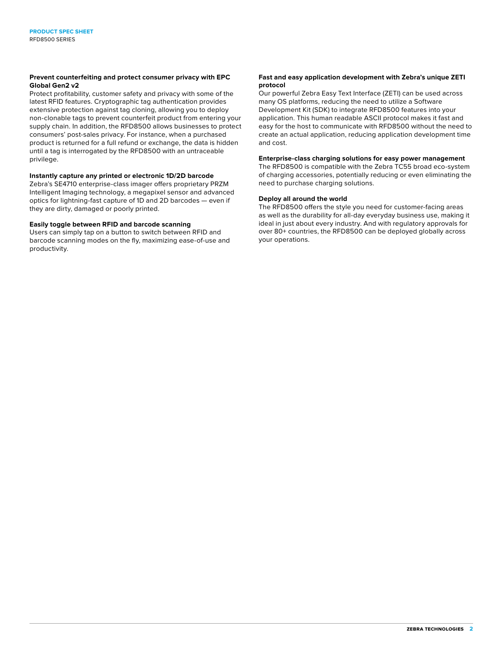#### **Prevent counterfeiting and protect consumer privacy with EPC Global Gen2 v2**

Protect profitability, customer safety and privacy with some of the latest RFID features. Cryptographic tag authentication provides extensive protection against tag cloning, allowing you to deploy non-clonable tags to prevent counterfeit product from entering your supply chain. In addition, the RFD8500 allows businesses to protect consumers' post-sales privacy. For instance, when a purchased product is returned for a full refund or exchange, the data is hidden until a tag is interrogated by the RFD8500 with an untraceable privilege.

#### **Instantly capture any printed or electronic 1D/2D barcode**

Zebra's SE4710 enterprise-class imager offers proprietary PRZM Intelligent Imaging technology, a megapixel sensor and advanced optics for lightning-fast capture of 1D and 2D barcodes — even if they are dirty, damaged or poorly printed.

#### **Easily toggle between RFID and barcode scanning**

Users can simply tap on a button to switch between RFID and barcode scanning modes on the fly, maximizing ease-of-use and productivity.

#### **Fast and easy application development with Zebra's unique ZETI protocol**

Our powerful Zebra Easy Text Interface (ZETI) can be used across many OS platforms, reducing the need to utilize a Software Development Kit (SDK) to integrate RFD8500 features into your application. This human readable ASCII protocol makes it fast and easy for the host to communicate with RFD8500 without the need to create an actual application, reducing application development time and cost.

#### **Enterprise-class charging solutions for easy power management**

The RFD8500 is compatible with the Zebra TC55 broad eco-system of charging accessories, potentially reducing or even eliminating the need to purchase charging solutions.

#### **Deploy all around the world**

The RFD8500 offers the style you need for customer-facing areas as well as the durability for all-day everyday business use, making it ideal in just about every industry. And with regulatory approvals for over 80+ countries, the RFD8500 can be deployed globally across your operations.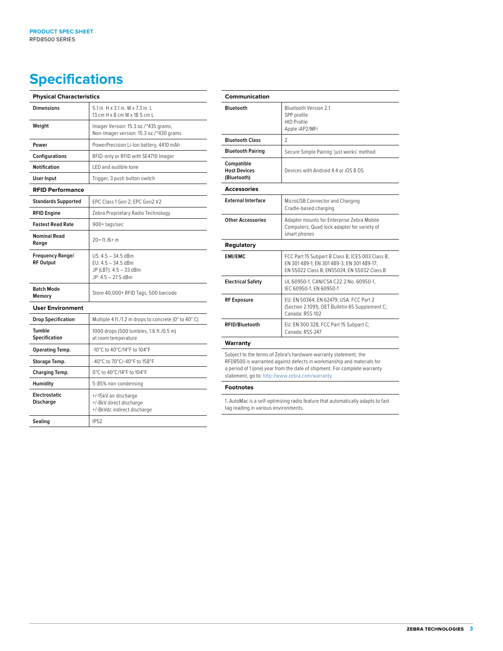## **Specifications**

| <b>Physical Characteristics</b>             |                                                                                            |
|---------------------------------------------|--------------------------------------------------------------------------------------------|
| <b>Dimensions</b>                           | 5.1 in. H x 3.1 in. W x 7.3 in. I<br>13 cm H $\times$ 8 cm W $\times$ 18.5 cm L            |
| Weight                                      | Imager Version: 15.3 oz./~435 grams;<br>Non-Imager version: 15.3 oz./~430 grams            |
| Power                                       | PowerPrecision Li-Ion battery, 4410 mAh                                                    |
| <b>Configurations</b>                       | RFID-only or RFID with SE4710 Imager                                                       |
| <b>Notification</b>                         | LED and audible tone                                                                       |
| User Input                                  | Trigger, 3 push button switch                                                              |
| <b>RFID Performance</b>                     |                                                                                            |
| <b>Standards Supported</b>                  | EPC Class 1 Gen 2: EPC Gen2 V2                                                             |
| <b>RFID Engine</b>                          | Zebra Proprietary Radio Technology                                                         |
| <b>Fastest Read Rate</b>                    | 900+tags/sec                                                                               |
| <b>Nominal Read</b><br>Range                | $20+ft/6+m$                                                                                |
| <b>Frequency Range/</b><br><b>RF Output</b> | US: 4.5 - 34.5 dBm<br>EU: 4.5 - 34.5 dBm<br>JP (LBT): 4.5 - 33 dBm<br>$JP: 4.5 - 27.5$ dBm |
| <b>Batch Mode</b><br>Memory                 | Store 40,000+ RFID Tags, 500 barcode                                                       |
| <b>User Environment</b>                     |                                                                                            |
| <b>Drop Specification</b>                   | Multiple 4 ft./1.2 m drops to concrete (0° to 40° C)                                       |
| Tumble<br><b>Specification</b>              | 1000 drops (500 tumbles, 1.6 ft./0.5 m)<br>at room temperature                             |
| Operating Temp.                             | -10°C to 40°C/14°F to 104°F                                                                |
| Storage Temp.                               | -40°C to 70°C/-40°F to 158°F                                                               |
| Charging Temp.                              | 0°C to 40°C/14°F to 104°F                                                                  |
| Humidity                                    | 5-85% non-condensing                                                                       |
| Electrostatic<br><b>Discharge</b>           | +/-15kV air discharge<br>+/-8kV direct discharge<br>+/-8kVdc indirect discharge            |
| Sealing                                     | <b>IP52</b>                                                                                |

| Communication                                    |                                                                                                                                                                                                                        |
|--------------------------------------------------|------------------------------------------------------------------------------------------------------------------------------------------------------------------------------------------------------------------------|
| Bluetooth                                        | <b>Bluetooth Version 2.1</b><br>SPP profile<br><b>HID Profile</b><br>Apple iAP2/MFi                                                                                                                                    |
| <b>Bluetooth Class</b>                           | $\mathfrak{D}$                                                                                                                                                                                                         |
| <b>Bluetooth Pairing</b>                         | Secure Simple Pairing 'just works' method                                                                                                                                                                              |
| Compatible<br><b>Host Devices</b><br>(Bluetooth) | Devices with Android 4.4 or iOS 8 OS                                                                                                                                                                                   |
| <b>Accessories</b>                               |                                                                                                                                                                                                                        |
| <b>External Interface</b>                        | MicroUSB Connector and Charging<br>Cradle-based charging                                                                                                                                                               |
| <b>Other Accessories</b>                         | Adapter mounts for Enterprise Zebra Mobile<br>Computers; Quad lock adapter for variety of<br>smart phones                                                                                                              |
| Regulatory                                       |                                                                                                                                                                                                                        |
| <b>EMI/EMC</b>                                   | FCC Part 15 Subpart B Class B; ICES 003 Class B;<br>EN 301 489-1; EN 301 489-3; EN 301 489-17;<br>EN 55022 Class B; EN55024; EN 55032 Class B                                                                          |
| <b>Electrical Safety</b>                         | UL 60950-1, CAN/CSA C22.2 No. 60950-1,<br>IEC 60950-1. EN 60950-1                                                                                                                                                      |
| <b>RF Exposure</b>                               | EU: EN 50364, EN 62479; USA: FCC Part 2<br>(Section 2.1091), OET Bulletin 65 Supplement C;<br>Canada: RSS-102                                                                                                          |
| <b>RFID/Bluetooth</b>                            | EU: EN 300 328, FCC Part 15 Subpart C;<br>Canada: RSS-247                                                                                                                                                              |
| Warranty                                         |                                                                                                                                                                                                                        |
| statement, go to: http://www.zebra.com/warranty  | Subject to the terms of Zebra's hardware warranty statement, the<br>RFD8500 is warranted against defects in workmanship and materials for<br>a period of 1 (one) year from the date of shipment. For complete warranty |
| <b>Footnotes</b>                                 |                                                                                                                                                                                                                        |

1. AutoMac is a self-optimizing radio feature that automatically adapts to fast tag reading in various environments.